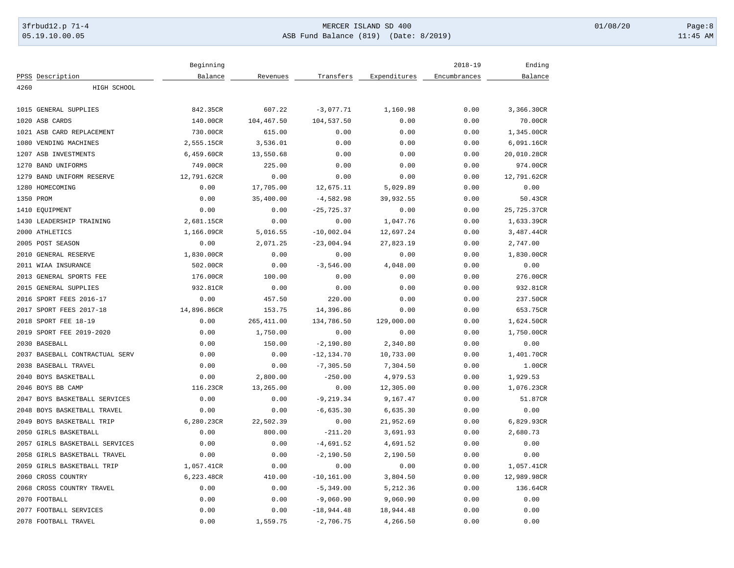# 3frbud12.p 71-4 **Details and the CER ISLAND SD 400** MERCER ISLAND SD 400 01/08/20 Page:8 05.19.10.00.05 ASB Fund Balance (819) (Date: 8/2019) 11:45 AM

|                                | Beginning   |             |               |              | $2018 - 19$  | Ending      |
|--------------------------------|-------------|-------------|---------------|--------------|--------------|-------------|
| PPSS Description               | Balance     | Revenues    | Transfers     | Expenditures | Encumbrances | Balance     |
| 4260<br>HIGH SCHOOL            |             |             |               |              |              |             |
|                                |             |             |               |              |              |             |
| 1015 GENERAL SUPPLIES          | 842.35CR    | 607.22      | $-3,077.71$   | 1,160.98     | 0.00         | 3,366.30CR  |
| 1020 ASB CARDS                 | 140.00CR    | 104,467.50  | 104,537.50    | 0.00         | 0.00         | 70.00CR     |
| 1021 ASB CARD REPLACEMENT      | 730.00CR    | 615.00      | 0.00          | 0.00         | 0.00         | 1,345.00CR  |
| 1080 VENDING MACHINES          | 2,555.15CR  | 3,536.01    | 0.00          | 0.00         | 0.00         | 6,091.16CR  |
| 1207 ASB INVESTMENTS           | 6,459.60CR  | 13,550.68   | 0.00          | 0.00         | 0.00         | 20,010.28CR |
| 1270 BAND UNIFORMS             | 749.00CR    | 225.00      | 0.00          | 0.00         | 0.00         | 974.00CR    |
| 1279<br>BAND UNIFORM RESERVE   | 12,791.62CR | 0.00        | 0.00          | 0.00         | 0.00         | 12,791.62CR |
| 1280 HOMECOMING                | 0.00        | 17,705.00   | 12,675.11     | 5,029.89     | 0.00         | 0.00        |
| 1350 PROM                      | 0.00        | 35,400.00   | $-4,582.98$   | 39,932.55    | 0.00         | 50.43CR     |
| 1410 EOUIPMENT                 | 0.00        | 0.00        | $-25, 725.37$ | 0.00         | 0.00         | 25,725.37CR |
| 1430 LEADERSHIP TRAINING       | 2,681.15CR  | 0.00        | 0.00          | 1,047.76     | 0.00         | 1,633.39CR  |
| 2000 ATHLETICS                 | 1,166.09CR  | 5,016.55    | $-10,002.04$  | 12,697.24    | 0.00         | 3,487.44CR  |
| 2005 POST SEASON               | 0.00        | 2,071.25    | $-23,004.94$  | 27,823.19    | 0.00         | 2,747.00    |
| 2010 GENERAL RESERVE           | 1,830.00CR  | 0.00        | 0.00          | 0.00         | 0.00         | 1,830.00CR  |
| 2011 WIAA INSURANCE            | 502.00CR    | 0.00        | $-3,546.00$   | 4,048.00     | 0.00         | 0.00        |
| 2013 GENERAL SPORTS FEE        | 176.00CR    | 100.00      | 0.00          | 0.00         | 0.00         | 276.00CR    |
| 2015 GENERAL SUPPLIES          | 932.81CR    | 0.00        | 0.00          | 0.00         | 0.00         | 932.81CR    |
| 2016 SPORT FEES 2016-17        | 0.00        | 457.50      | 220.00        | 0.00         | 0.00         | 237.50CR    |
| 2017 SPORT FEES 2017-18        | 14,896.86CR | 153.75      | 14,396.86     | 0.00         | 0.00         | 653.75CR    |
| 2018 SPORT FEE 18-19           | 0.00        | 265, 411.00 | 134,786.50    | 129,000.00   | 0.00         | 1,624.50CR  |
| 2019 SPORT FEE 2019-2020       | 0.00        | 1,750.00    | 0.00          | 0.00         | 0.00         | 1,750.00CR  |
| 2030 BASEBALL                  | 0.00        | 150.00      | $-2,190.80$   | 2,340.80     | 0.00         | 0.00        |
| 2037 BASEBALL CONTRACTUAL SERV | 0.00        | 0.00        | $-12, 134.70$ | 10,733.00    | 0.00         | 1,401.70CR  |
| 2038 BASEBALL TRAVEL           | 0.00        | 0.00        | $-7, 305.50$  | 7,304.50     | 0.00         | 1.00CR      |
| 2040 BOYS BASKETBALL           | 0.00        | 2,800.00    | $-250.00$     | 4,979.53     | 0.00         | 1,929.53    |
| 2046 BOYS BB CAMP              | 116.23CR    | 13,265.00   | 0.00          | 12,305.00    | 0.00         | 1,076.23CR  |
| 2047 BOYS BASKETBALL SERVICES  | 0.00        | 0.00        | $-9, 219.34$  | 9,167.47     | 0.00         | 51.87CR     |
| 2048 BOYS BASKETBALL TRAVEL    | 0.00        | 0.00        | $-6,635.30$   | 6,635.30     | 0.00         | 0.00        |
|                                |             |             |               |              |              |             |
| 2049 BOYS BASKETBALL TRIP      | 6,280.23CR  | 22,502.39   | 0.00          | 21,952.69    | 0.00         | 6,829.93CR  |
| 2050 GIRLS BASKETBALL          | 0.00        | 800.00      | $-211.20$     | 3,691.93     | 0.00         | 2,680.73    |
| 2057 GIRLS BASKETBALL SERVICES | 0.00        | 0.00        | $-4,691.52$   | 4,691.52     | 0.00         | 0.00        |
| 2058 GIRLS BASKETBALL TRAVEL   | 0.00        | 0.00        | $-2,190.50$   | 2,190.50     | 0.00         | 0.00        |
| 2059 GIRLS BASKETBALL TRIP     | 1,057.41CR  | 0.00        | 0.00          | 0.00         | 0.00         | 1,057.41CR  |
| 2060 CROSS COUNTRY             | 6,223.48CR  | 410.00      | $-10, 161.00$ | 3,804.50     | 0.00         | 12,989.98CR |
| 2068 CROSS COUNTRY TRAVEL      | 0.00        | 0.00        | $-5, 349.00$  | 5,212.36     | 0.00         | 136.64CR    |
| 2070 FOOTBALL                  | 0.00        | 0.00        | $-9,060.90$   | 9,060.90     | 0.00         | 0.00        |
| 2077 FOOTBALL SERVICES         | 0.00        | 0.00        | $-18,944.48$  | 18,944.48    | 0.00         | 0.00        |
| 2078 FOOTBALL TRAVEL           | 0.00        | 1,559.75    | $-2,706.75$   | 4,266.50     | 0.00         | 0.00        |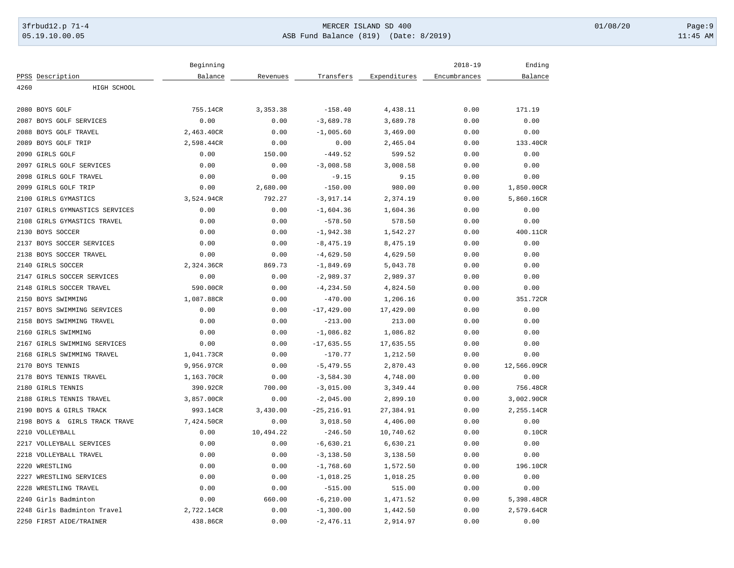# 3frbud12.p 71-4 **Details and the CER ISLAND SD 400** MERCER ISLAND SD 400 01/08/20 Page:9 05.19.10.00.05 ASB Fund Balance (819) (Date: 8/2019) 11:45 AM

|      |                                | Beginning  |            |               |              | $2018 - 19$  | Ending      |
|------|--------------------------------|------------|------------|---------------|--------------|--------------|-------------|
|      | PPSS Description               | Balance    | Revenues   | Transfers     | Expenditures | Encumbrances | Balance     |
| 4260 | HIGH SCHOOL                    |            |            |               |              |              |             |
|      |                                |            |            |               |              |              |             |
|      | 2080 BOYS GOLF                 | 755.14CR   | 3, 353. 38 | $-158.40$     | 4,438.11     | 0.00         | 171.19      |
|      | 2087 BOYS GOLF SERVICES        | 0.00       | 0.00       | $-3,689.78$   | 3,689.78     | 0.00         | 0.00        |
|      | 2088 BOYS GOLF TRAVEL          | 2,463.40CR | 0.00       | $-1,005.60$   | 3,469.00     | 0.00         | 0.00        |
|      | 2089 BOYS GOLF TRIP            | 2,598.44CR | 0.00       | 0.00          | 2,465.04     | 0.00         | 133.40CR    |
|      | 2090 GIRLS GOLF                | 0.00       | 150.00     | $-449.52$     | 599.52       | 0.00         | 0.00        |
|      | 2097 GIRLS GOLF SERVICES       | 0.00       | 0.00       | $-3,008.58$   | 3,008.58     | 0.00         | 0.00        |
|      | 2098 GIRLS GOLF TRAVEL         | 0.00       | 0.00       | $-9.15$       | 9.15         | 0.00         | 0.00        |
|      | 2099 GIRLS GOLF TRIP           | 0.00       | 2,680.00   | $-150.00$     | 980.00       | 0.00         | 1,850.00CR  |
|      | 2100 GIRLS GYMASTICS           | 3,524.94CR | 792.27     | $-3,917.14$   | 2,374.19     | 0.00         | 5,860.16CR  |
|      | 2107 GIRLS GYMNASTICS SERVICES | 0.00       | 0.00       | $-1,604.36$   | 1,604.36     | 0.00         | 0.00        |
| 2108 | GIRLS GYMASTICS TRAVEL         | 0.00       | 0.00       | $-578.50$     | 578.50       | 0.00         | 0.00        |
|      | 2130 BOYS SOCCER               | 0.00       | 0.00       | $-1,942.38$   | 1,542.27     | 0.00         | 400.11CR    |
|      | 2137 BOYS SOCCER SERVICES      | 0.00       | 0.00       | $-8, 475.19$  | 8,475.19     | 0.00         | 0.00        |
|      | 2138 BOYS SOCCER TRAVEL        | 0.00       | 0.00       | $-4,629.50$   | 4,629.50     | 0.00         | 0.00        |
|      | 2140 GIRLS SOCCER              | 2,324.36CR | 869.73     | $-1,849.69$   | 5,043.78     | 0.00         | 0.00        |
|      | 2147 GIRLS SOCCER SERVICES     | 0.00       | 0.00       | $-2,989.37$   | 2,989.37     | 0.00         | 0.00        |
| 2148 | GIRLS SOCCER TRAVEL            | 590.00CR   | 0.00       | $-4, 234.50$  | 4,824.50     | 0.00         | 0.00        |
|      | 2150 BOYS SWIMMING             | 1,087.88CR | 0.00       | $-470.00$     | 1,206.16     | 0.00         | 351.72CR    |
|      | 2157 BOYS SWIMMING SERVICES    | 0.00       | 0.00       | $-17, 429.00$ | 17,429.00    | 0.00         | 0.00        |
| 2158 | BOYS SWIMMING TRAVEL           | 0.00       | 0.00       | $-213.00$     | 213.00       | 0.00         | 0.00        |
|      | 2160 GIRLS SWIMMING            | 0.00       | 0.00       | $-1,086.82$   | 1,086.82     | 0.00         | 0.00        |
|      | 2167 GIRLS SWIMMING SERVICES   | 0.00       | 0.00       | $-17,635.55$  | 17,635.55    | 0.00         | 0.00        |
|      | 2168 GIRLS SWIMMING TRAVEL     | 1,041.73CR | 0.00       | $-170.77$     | 1,212.50     | 0.00         | 0.00        |
|      | 2170 BOYS TENNIS               | 9,956.97CR | 0.00       | $-5,479.55$   | 2,870.43     | 0.00         | 12,566.09CR |
|      | 2178 BOYS TENNIS TRAVEL        | 1,163.70CR | 0.00       | $-3,584.30$   | 4,748.00     | 0.00         | 0.00        |
|      | 2180 GIRLS TENNIS              | 390.92CR   | 700.00     | $-3,015.00$   | 3,349.44     | 0.00         | 756.48CR    |
|      | 2188 GIRLS TENNIS TRAVEL       | 3,857.00CR | 0.00       | $-2,045.00$   | 2,899.10     | 0.00         | 3,002.90CR  |
|      | 2190 BOYS & GIRLS TRACK        | 993.14CR   | 3,430.00   | $-25, 216.91$ | 27,384.91    | 0.00         | 2,255.14CR  |
|      | 2198 BOYS & GIRLS TRACK TRAVE  | 7,424.50CR | 0.00       | 3,018.50      | 4,406.00     | 0.00         | 0.00        |
|      | 2210 VOLLEYBALL                | 0.00       | 10,494.22  | $-246.50$     | 10,740.62    | 0.00         | 0.10CR      |
|      | 2217 VOLLEYBALL SERVICES       | 0.00       | 0.00       | $-6,630.21$   | 6,630.21     | 0.00         | 0.00        |
|      | 2218 VOLLEYBALL TRAVEL         | 0.00       | 0.00       | $-3, 138.50$  | 3,138.50     | 0.00         | 0.00        |
|      | 2220 WRESTLING                 | 0.00       | 0.00       | $-1,768.60$   | 1,572.50     | 0.00         | 196.10CR    |
|      | 2227 WRESTLING SERVICES        | 0.00       | 0.00       | $-1,018.25$   | 1,018.25     | 0.00         | 0.00        |
|      | 2228 WRESTLING TRAVEL          | 0.00       | 0.00       | $-515.00$     | 515.00       | 0.00         | 0.00        |
|      | 2240 Girls Badminton           | 0.00       | 660.00     | $-6, 210.00$  | 1,471.52     | 0.00         | 5,398.48CR  |
|      | 2248 Girls Badminton Travel    | 2,722.14CR | 0.00       | $-1, 300.00$  | 1,442.50     | 0.00         | 2,579.64CR  |
|      | 2250 FIRST AIDE/TRAINER        | 438.86CR   | 0.00       | $-2,476.11$   | 2,914.97     | 0.00         | 0.00        |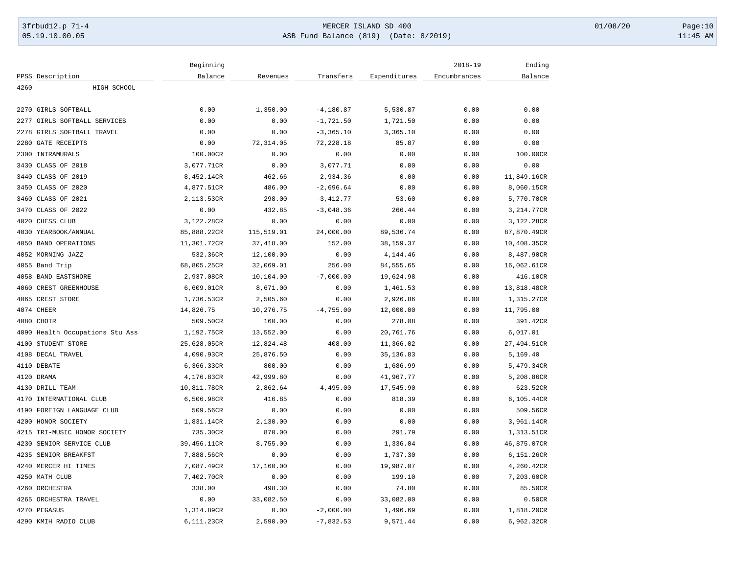# 3frbud12.p 71-4 **Details and the CER ISLAND SD 400** MERCER ISLAND SD 400 01/08/20 Page:10 05.19.10.00.05 ASB Fund Balance (819) (Date: 8/2019) 11:45 AM

|                                 | Beginning            |                |              |              | $2018 - 19$  | Ending                |
|---------------------------------|----------------------|----------------|--------------|--------------|--------------|-----------------------|
| PPSS Description                | Balance              | Revenues       | Transfers    | Expenditures | Encumbrances | Balance               |
| 4260<br>HIGH SCHOOL             |                      |                |              |              |              |                       |
|                                 |                      |                |              |              |              |                       |
| 2270 GIRLS SOFTBALL             | 0.00                 | 1,350.00       | $-4, 180.87$ | 5,530.87     | 0.00         | 0.00                  |
| 2277<br>GIRLS SOFTBALL SERVICES | 0.00                 | 0.00           | $-1,721.50$  | 1,721.50     | 0.00         | 0.00                  |
| 2278<br>GIRLS SOFTBALL TRAVEL   | 0.00                 | 0.00           | $-3, 365.10$ | 3,365.10     | 0.00         | 0.00                  |
| 2280 GATE RECEIPTS              | 0.00                 | 72,314.05      | 72,228.18    | 85.87        | 0.00         | 0.00                  |
| 2300 INTRAMURALS                | 100.00CR             | 0.00           | 0.00         | 0.00         | 0.00         | 100.00CR              |
| 3430 CLASS OF 2018              | 3,077.71CR           | 0.00           | 3,077.71     | 0.00         | 0.00         | 0.00                  |
| 3440 CLASS OF 2019              | 8,452.14CR           | 462.66         | $-2,934.36$  | 0.00         | 0.00         | 11,849.16CR           |
| 3450 CLASS OF 2020              | 4,877.51CR           | 486.00         | $-2,696.64$  | 0.00         | 0.00         | 8,060.15CR            |
| 3460 CLASS OF 2021              | 2,113.53CR           | 298.00         | $-3,412.77$  | 53.60        | 0.00         | 5,770.70CR            |
| 3470<br>CLASS OF 2022           | 0.00                 | 432.85         | $-3,048.36$  | 266.44       | 0.00         | 3,214.77CR            |
| 4020 CHESS CLUB                 | 3,122.28CR           | 0.00           | 0.00         | 0.00         | 0.00         | 3,122.28CR            |
| 4030 YEARBOOK/ANNUAL            | 85,888.22CR          | 115,519.01     | 24,000.00    | 89,536.74    | 0.00         | 87,870.49CR           |
| 4050 BAND OPERATIONS            | 11,301.72CR          | 37,418.00      | 152.00       | 38, 159. 37  | 0.00         | 10,408.35CR           |
| 4052 MORNING JAZZ               | 532.36CR             | 12,100.00      | 0.00         | 4,144.46     | 0.00         | 8,487.90CR            |
| 4055 Band Trip                  | 68,805.25CR          | 32,069.01      | 256.00       | 84, 555.65   | 0.00         | 16,062.61CR           |
| 4058 BAND EASTSHORE             | 2,937.08CR           | 10,104.00      | $-7,000.00$  | 19,624.98    | 0.00         | 416.10CR              |
| 4060 CREST GREENHOUSE           | 6,609.01CR           | 8,671.00       | 0.00         | 1,461.53     | 0.00         | 13,818.48CR           |
| 4065 CREST STORE                | 1,736.53CR           | 2,505.60       | 0.00         | 2,926.86     | 0.00         | 1,315.27CR            |
| 4074 CHEER                      | 14,826.75            | 10,276.75      | $-4,755.00$  | 12,000.00    | 0.00         | 11,795.00             |
| 4080 CHOIR                      | 509.50CR             | 160.00         | 0.00         | 278.08       | 0.00         | 391.42CR              |
| 4090 Health Occupations Stu Ass | 1,192.75CR           | 13,552.00      | 0.00         | 20,761.76    | 0.00         | 6,017.01              |
| 4100 STUDENT STORE              | 25,628.05CR          | 12,824.48      | $-408.00$    | 11,366.02    | 0.00         | 27,494.51CR           |
| 4108 DECAL TRAVEL               | 4,090.93CR           | 25,876.50      | 0.00         | 35, 136.83   | 0.00         | 5,169.40              |
| 4110 DEBATE                     | 6,366.33CR           | 800.00         | 0.00         | 1,686.99     | 0.00         | 5,479.34CR            |
| 4120 DRAMA                      | 4,176.83CR           | 42,999.80      | 0.00         | 41,967.77    | 0.00         | 5,208.86CR            |
| 4130 DRILL TEAM                 | 10,811.78CR          | 2,862.64       | $-4, 495.00$ | 17,545.90    | 0.00         | 623.52CR              |
| INTERNATIONAL CLUB<br>4170      | 6,506.98CR           | 416.85         | 0.00         | 818.39       | 0.00         | 6,105.44CR            |
| 4190 FOREIGN LANGUAGE CLUB      | 509.56CR             | 0.00           | 0.00         | 0.00         | 0.00         | 509.56CR              |
| 4200 HONOR SOCIETY              | 1,831.14CR           | 2,130.00       | 0.00         | 0.00         | 0.00         | 3,961.14CR            |
| 4215 TRI-MUSIC HONOR SOCIETY    | 735.30CR             | 870.00         | 0.00         | 291.79       | 0.00         | 1,313.51CR            |
| 4230<br>SENIOR SERVICE CLUB     | 39,456.11CR          | 8,755.00       | 0.00         | 1,336.04     | 0.00         | 46,875.07CR           |
| 4235 SENIOR BREAKFST            | 7,888.56CR           | 0.00           | 0.00         | 1,737.30     | 0.00         | 6,151.26CR            |
| 4240 MERCER HI TIMES            | 7,087.49CR           | 17,160.00      | 0.00         | 19,987.07    | 0.00         | 4,260.42CR            |
| 4250 MATH CLUB                  |                      |                |              | 199.10       |              |                       |
| 4260 ORCHESTRA                  | 7,402.70CR<br>338.00 | 0.00<br>498.30 | 0.00         | 74.80        | 0.00<br>0.00 | 7,203.60CR<br>85.50CR |
|                                 |                      | 33,082.50      | 0.00         |              |              |                       |
| 4265 ORCHESTRA TRAVEL           | 0.00                 |                | 0.00         | 33,082.00    | 0.00         | 0.50CR                |
| 4270 PEGASUS                    | 1,314.89CR           | 0.00           | $-2,000.00$  | 1,496.69     | 0.00         | 1,818.20CR            |
| 4290 KMIH RADIO CLUB            | 6,111.23CR           | 2,590.00       | $-7,832.53$  | 9,571.44     | 0.00         | 6,962.32CR            |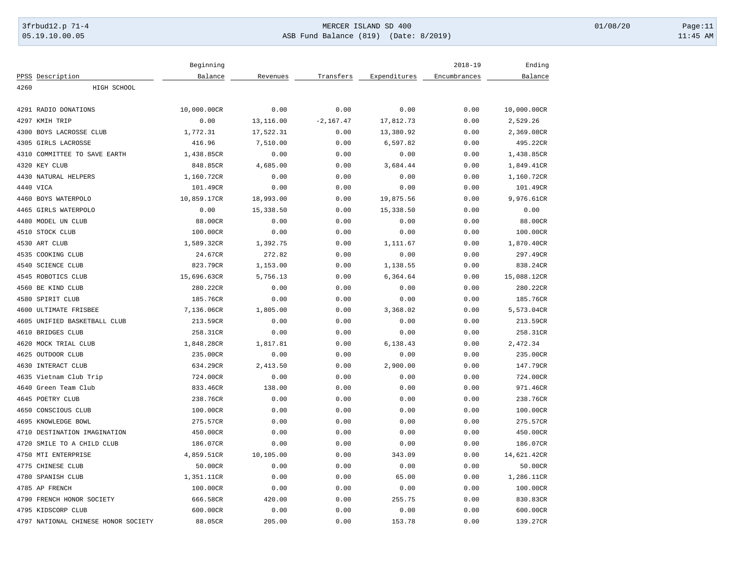# 3frbud12.p 71-4 **Details and the CER ISLAND SD 400** MERCER ISLAND SD 400 01/08/20 Page:11 05.19.10.00.05 ASB Fund Balance (819) (Date: 8/2019) 11:45 AM

|                                     | Beginning   |           |              |              | $2018 - 19$  | Ending      |
|-------------------------------------|-------------|-----------|--------------|--------------|--------------|-------------|
| PPSS Description                    | Balance     | Revenues  | Transfers    | Expenditures | Encumbrances | Balance     |
| 4260<br>HIGH SCHOOL                 |             |           |              |              |              |             |
|                                     |             |           |              |              |              |             |
| 4291 RADIO DONATIONS                | 10,000.00CR | 0.00      | 0.00         | 0.00         | 0.00         | 10,000.00CR |
| 4297 KMIH TRIP                      | 0.00        | 13,116.00 | $-2, 167.47$ | 17,812.73    | 0.00         | 2,529.26    |
| 4300 BOYS LACROSSE CLUB             | 1,772.31    | 17,522.31 | 0.00         | 13,380.92    | 0.00         | 2,369.08CR  |
| 4305 GIRLS LACROSSE                 | 416.96      | 7,510.00  | 0.00         | 6,597.82     | 0.00         | 495.22CR    |
| 4310 COMMITTEE TO SAVE EARTH        | 1,438.85CR  | 0.00      | 0.00         | 0.00         | 0.00         | 1,438.85CR  |
| 4320 KEY CLUB                       | 848.85CR    | 4,685.00  | 0.00         | 3,684.44     | 0.00         | 1,849.41CR  |
| 4430 NATURAL HELPERS                | 1,160.72CR  | 0.00      | 0.00         | 0.00         | 0.00         | 1,160.72CR  |
| 4440 VICA                           | 101.49CR    | 0.00      | 0.00         | 0.00         | 0.00         | 101.49CR    |
| 4460 BOYS WATERPOLO                 | 10,859.17CR | 18,993.00 | 0.00         | 19,875.56    | 0.00         | 9,976.61CR  |
| 4465 GIRLS WATERPOLO                | 0.00        | 15,338.50 | 0.00         | 15,338.50    | 0.00         | 0.00        |
| 4480 MODEL UN CLUB                  | 88.00CR     | 0.00      | 0.00         | 0.00         | 0.00         | 88.00CR     |
| 4510 STOCK CLUB                     | 100.00CR    | 0.00      | 0.00         | 0.00         | 0.00         | 100.00CR    |
| 4530 ART CLUB                       | 1,589.32CR  | 1,392.75  | 0.00         | 1,111.67     | 0.00         | 1,870.40CR  |
| 4535 COOKING CLUB                   | 24.67CR     | 272.82    | 0.00         | 0.00         | 0.00         | 297.49CR    |
| 4540 SCIENCE CLUB                   | 823.79CR    | 1,153.00  | 0.00         | 1,138.55     | 0.00         | 838.24CR    |
| 4545 ROBOTICS CLUB                  | 15,696.63CR | 5,756.13  | 0.00         | 6,364.64     | 0.00         | 15,088.12CR |
| 4560 BE KIND CLUB                   | 280.22CR    | 0.00      | 0.00         | 0.00         | 0.00         | 280.22CR    |
| 4580 SPIRIT CLUB                    | 185.76CR    | 0.00      | 0.00         | 0.00         | 0.00         | 185.76CR    |
| 4600 ULTIMATE FRISBEE               | 7,136.06CR  | 1,805.00  | 0.00         | 3,368.02     | 0.00         | 5,573.04CR  |
| 4605 UNIFIED BASKETBALL CLUB        | 213.59CR    | 0.00      | 0.00         | 0.00         | 0.00         | 213.59CR    |
| 4610 BRIDGES CLUB                   | 258.31CR    | 0.00      | 0.00         | 0.00         | 0.00         | 258.31CR    |
| 4620 MOCK TRIAL CLUB                | 1,848.28CR  | 1,817.81  | 0.00         | 6,138.43     | 0.00         | 2,472.34    |
| 4625 OUTDOOR CLUB                   | 235.00CR    | 0.00      | 0.00         | 0.00         | 0.00         | 235.00CR    |
| 4630 INTERACT CLUB                  | 634.29CR    | 2,413.50  | 0.00         | 2,900.00     | 0.00         | 147.79CR    |
| 4635 Vietnam Club Trip              | 724.00CR    | 0.00      | 0.00         | 0.00         | 0.00         | 724.00CR    |
| 4640 Green Team Club                | 833.46CR    | 138.00    | 0.00         | 0.00         | 0.00         | 971.46CR    |
| 4645 POETRY CLUB                    | 238.76CR    | 0.00      | 0.00         | 0.00         | 0.00         | 238.76CR    |
| 4650 CONSCIOUS CLUB                 | 100.00CR    | 0.00      | 0.00         | 0.00         | 0.00         | 100.00CR    |
| 4695 KNOWLEDGE BOWL                 | 275.57CR    | 0.00      | 0.00         | 0.00         | 0.00         | 275.57CR    |
| 4710 DESTINATION IMAGINATION        |             |           |              |              |              |             |
|                                     | 450.00CR    | 0.00      | 0.00         | 0.00         | 0.00         | 450.00CR    |
| SMILE TO A CHILD CLUB<br>4720       | 186.07CR    | 0.00      | 0.00         | 0.00         | 0.00         | 186.07CR    |
| 4750 MTI ENTERPRISE                 | 4,859.51CR  | 10,105.00 | 0.00         | 343.09       | 0.00         | 14,621.42CR |
| 4775 CHINESE CLUB                   | 50.00CR     | 0.00      | 0.00         | 0.00         | 0.00         | 50.00CR     |
| 4780 SPANISH CLUB                   | 1,351.11CR  | 0.00      | 0.00         | 65.00        | 0.00         | 1,286.11CR  |
| 4785 AP FRENCH                      | 100.00CR    | 0.00      | 0.00         | 0.00         | 0.00         | 100.00CR    |
| 4790 FRENCH HONOR SOCIETY           | 666.58CR    | 420.00    | 0.00         | 255.75       | 0.00         | 830.83CR    |
| 4795 KIDSCORP CLUB                  | 600.00CR    | 0.00      | 0.00         | 0.00         | 0.00         | 600.00CR    |
| 4797 NATIONAL CHINESE HONOR SOCIETY | 88.05CR     | 205.00    | 0.00         | 153.78       | 0.00         | 139.27CR    |